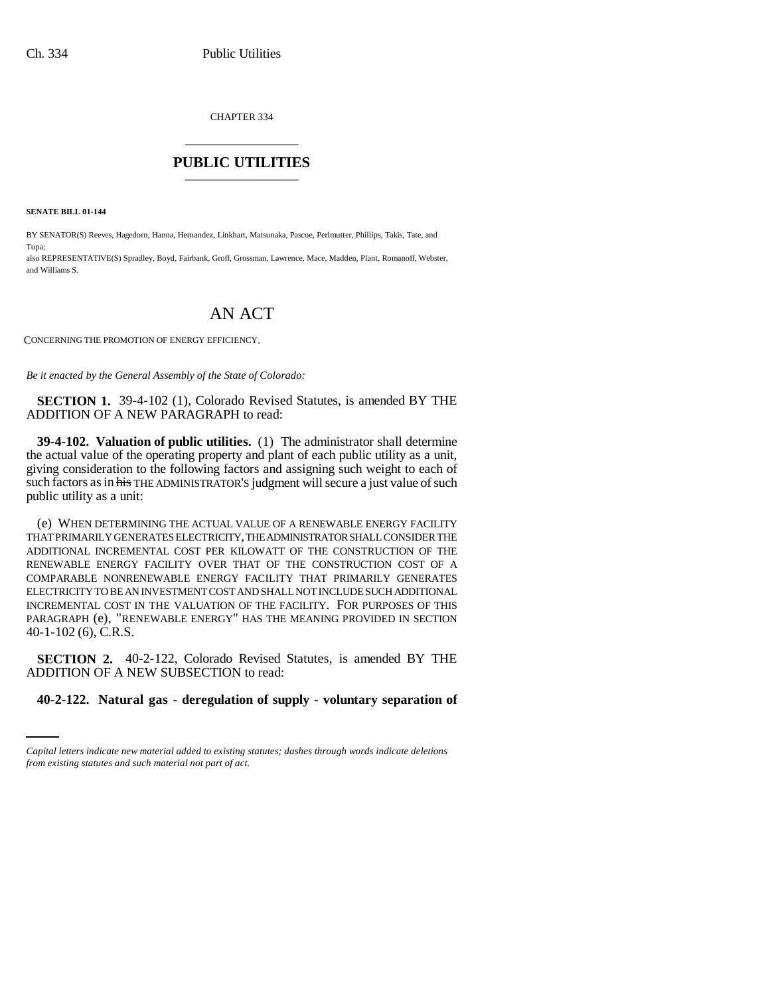CHAPTER 334 \_\_\_\_\_\_\_\_\_\_\_\_\_\_\_

## **PUBLIC UTILITIES** \_\_\_\_\_\_\_\_\_\_\_\_\_\_\_

**SENATE BILL 01-144**

Tupa;

BY SENATOR(S) Reeves, Hagedorn, Hanna, Hernandez, Linkhart, Matsunaka, Pascoe, Perlmutter, Phillips, Takis, Tate, and

also REPRESENTATIVE(S) Spradley, Boyd, Fairbank, Groff, Grossman, Lawrence, Mace, Madden, Plant, Romanoff, Webster, and Williams S.

## AN ACT

CONCERNING THE PROMOTION OF ENERGY EFFICIENCY.

*Be it enacted by the General Assembly of the State of Colorado:*

**SECTION 1.** 39-4-102 (1), Colorado Revised Statutes, is amended BY THE ADDITION OF A NEW PARAGRAPH to read:

**39-4-102. Valuation of public utilities.** (1) The administrator shall determine the actual value of the operating property and plant of each public utility as a unit, giving consideration to the following factors and assigning such weight to each of such factors as in his THE ADMINISTRATOR'S judgment will secure a just value of such public utility as a unit:

(e) WHEN DETERMINING THE ACTUAL VALUE OF A RENEWABLE ENERGY FACILITY THAT PRIMARILY GENERATES ELECTRICITY, THE ADMINISTRATOR SHALL CONSIDER THE ADDITIONAL INCREMENTAL COST PER KILOWATT OF THE CONSTRUCTION OF THE RENEWABLE ENERGY FACILITY OVER THAT OF THE CONSTRUCTION COST OF A COMPARABLE NONRENEWABLE ENERGY FACILITY THAT PRIMARILY GENERATES ELECTRICITY TO BE AN INVESTMENT COST AND SHALL NOT INCLUDE SUCH ADDITIONAL INCREMENTAL COST IN THE VALUATION OF THE FACILITY. FOR PURPOSES OF THIS PARAGRAPH (e), "RENEWABLE ENERGY" HAS THE MEANING PROVIDED IN SECTION 40-1-102 (6), C.R.S.

ADDITION OF A NEW SUBSECTION to read: **SECTION 2.** 40-2-122, Colorado Revised Statutes, is amended BY THE

## **40-2-122. Natural gas - deregulation of supply - voluntary separation of**

*Capital letters indicate new material added to existing statutes; dashes through words indicate deletions from existing statutes and such material not part of act.*